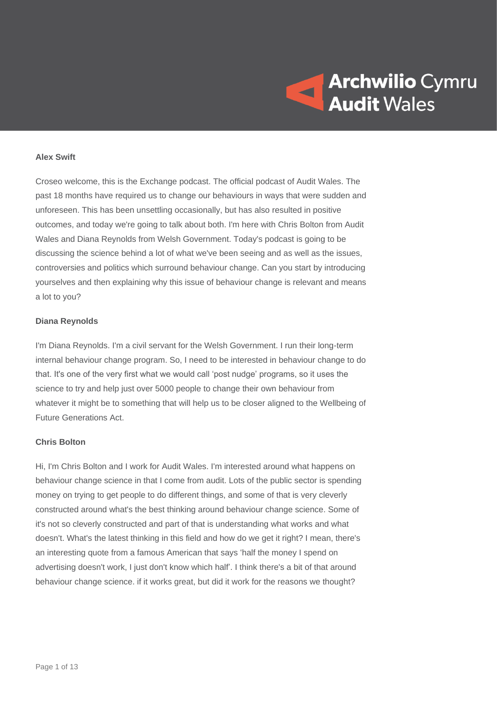

### **Alex Swift**

Croseo welcome, this is the Exchange podcast. The official podcast of Audit Wales. The past 18 months have required us to change our behaviours in ways that were sudden and unforeseen. This has been unsettling occasionally, but has also resulted in positive outcomes, and today we're going to talk about both. I'm here with Chris Bolton from Audit Wales and Diana Reynolds from Welsh Government. Today's podcast is going to be discussing the science behind a lot of what we've been seeing and as well as the issues, controversies and politics which surround behaviour change. Can you start by introducing yourselves and then explaining why this issue of behaviour change is relevant and means a lot to you?

### **Diana Reynolds**

I'm Diana Reynolds. I'm a civil servant for the Welsh Government. I run their long-term internal behaviour change program. So, I need to be interested in behaviour change to do that. It's one of the very first what we would call 'post nudge' programs, so it uses the science to try and help just over 5000 people to change their own behaviour from whatever it might be to something that will help us to be closer aligned to the Wellbeing of Future Generations Act.

### **Chris Bolton**

Hi, I'm Chris Bolton and I work for Audit Wales. I'm interested around what happens on behaviour change science in that I come from audit. Lots of the public sector is spending money on trying to get people to do different things, and some of that is very cleverly constructed around what's the best thinking around behaviour change science. Some of it's not so cleverly constructed and part of that is understanding what works and what doesn't. What's the latest thinking in this field and how do we get it right? I mean, there's an interesting quote from a famous American that says 'half the money I spend on advertising doesn't work, I just don't know which half'. I think there's a bit of that around behaviour change science. if it works great, but did it work for the reasons we thought?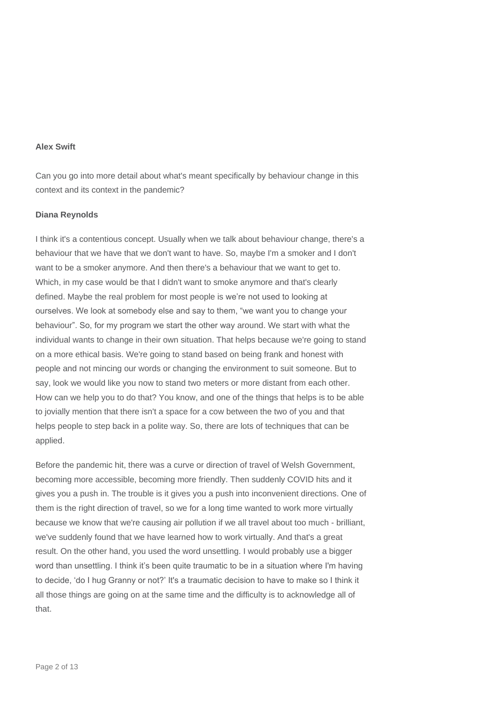## **Alex Swift**

Can you go into more detail about what's meant specifically by behaviour change in this context and its context in the pandemic?

## **Diana Reynolds**

I think it's a contentious concept. Usually when we talk about behaviour change, there's a behaviour that we have that we don't want to have. So, maybe I'm a smoker and I don't want to be a smoker anymore. And then there's a behaviour that we want to get to. Which, in my case would be that I didn't want to smoke anymore and that's clearly defined. Maybe the real problem for most people is we're not used to looking at ourselves. We look at somebody else and say to them, "we want you to change your behaviour". So, for my program we start the other way around. We start with what the individual wants to change in their own situation. That helps because we're going to stand on a more ethical basis. We're going to stand based on being frank and honest with people and not mincing our words or changing the environment to suit someone. But to say, look we would like you now to stand two meters or more distant from each other. How can we help you to do that? You know, and one of the things that helps is to be able to jovially mention that there isn't a space for a cow between the two of you and that helps people to step back in a polite way. So, there are lots of techniques that can be applied.

Before the pandemic hit, there was a curve or direction of travel of Welsh Government, becoming more accessible, becoming more friendly. Then suddenly COVID hits and it gives you a push in. The trouble is it gives you a push into inconvenient directions. One of them is the right direction of travel, so we for a long time wanted to work more virtually because we know that we're causing air pollution if we all travel about too much - brilliant, we've suddenly found that we have learned how to work virtually. And that's a great result. On the other hand, you used the word unsettling. I would probably use a bigger word than unsettling. I think it's been quite traumatic to be in a situation where I'm having to decide, 'do I hug Granny or not?' It's a traumatic decision to have to make so I think it all those things are going on at the same time and the difficulty is to acknowledge all of that.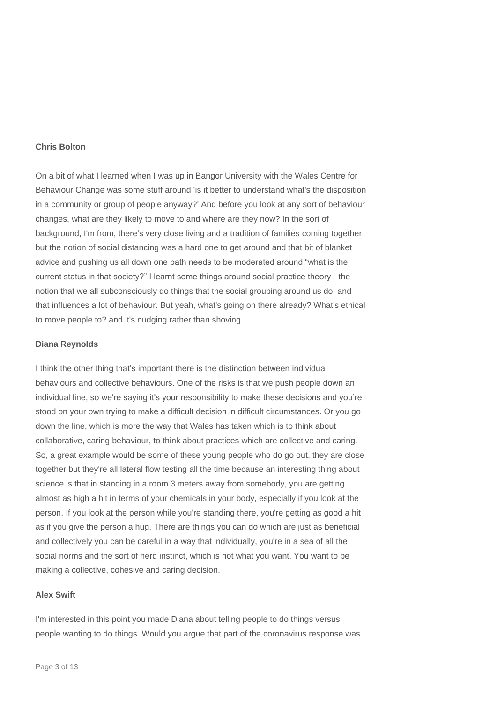## **Chris Bolton**

On a bit of what I learned when I was up in Bangor University with the Wales Centre for Behaviour Change was some stuff around 'is it better to understand what's the disposition in a community or group of people anyway?' And before you look at any sort of behaviour changes, what are they likely to move to and where are they now? In the sort of background, I'm from, there's very close living and a tradition of families coming together, but the notion of social distancing was a hard one to get around and that bit of blanket advice and pushing us all down one path needs to be moderated around "what is the current status in that society?" I learnt some things around social practice theory - the notion that we all subconsciously do things that the social grouping around us do, and that influences a lot of behaviour. But yeah, what's going on there already? What's ethical to move people to? and it's nudging rather than shoving.

### **Diana Reynolds**

I think the other thing that's important there is the distinction between individual behaviours and collective behaviours. One of the risks is that we push people down an individual line, so we're saying it's your responsibility to make these decisions and you're stood on your own trying to make a difficult decision in difficult circumstances. Or you go down the line, which is more the way that Wales has taken which is to think about collaborative, caring behaviour, to think about practices which are collective and caring. So, a great example would be some of these young people who do go out, they are close together but they're all lateral flow testing all the time because an interesting thing about science is that in standing in a room 3 meters away from somebody, you are getting almost as high a hit in terms of your chemicals in your body, especially if you look at the person. If you look at the person while you're standing there, you're getting as good a hit as if you give the person a hug. There are things you can do which are just as beneficial and collectively you can be careful in a way that individually, you're in a sea of all the social norms and the sort of herd instinct, which is not what you want. You want to be making a collective, cohesive and caring decision.

### **Alex Swift**

I'm interested in this point you made Diana about telling people to do things versus people wanting to do things. Would you argue that part of the coronavirus response was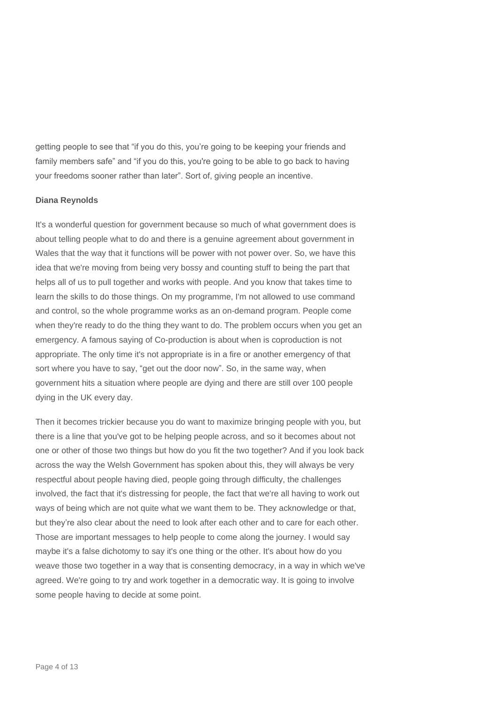getting people to see that "if you do this, you're going to be keeping your friends and family members safe" and "if you do this, you're going to be able to go back to having your freedoms sooner rather than later". Sort of, giving people an incentive.

# **Diana Reynolds**

It's a wonderful question for government because so much of what government does is about telling people what to do and there is a genuine agreement about government in Wales that the way that it functions will be power with not power over. So, we have this idea that we're moving from being very bossy and counting stuff to being the part that helps all of us to pull together and works with people. And you know that takes time to learn the skills to do those things. On my programme, I'm not allowed to use command and control, so the whole programme works as an on-demand program. People come when they're ready to do the thing they want to do. The problem occurs when you get an emergency. A famous saying of Co-production is about when is coproduction is not appropriate. The only time it's not appropriate is in a fire or another emergency of that sort where you have to say, "get out the door now". So, in the same way, when government hits a situation where people are dying and there are still over 100 people dying in the UK every day.

Then it becomes trickier because you do want to maximize bringing people with you, but there is a line that you've got to be helping people across, and so it becomes about not one or other of those two things but how do you fit the two together? And if you look back across the way the Welsh Government has spoken about this, they will always be very respectful about people having died, people going through difficulty, the challenges involved, the fact that it's distressing for people, the fact that we're all having to work out ways of being which are not quite what we want them to be. They acknowledge or that, but they're also clear about the need to look after each other and to care for each other. Those are important messages to help people to come along the journey. I would say maybe it's a false dichotomy to say it's one thing or the other. It's about how do you weave those two together in a way that is consenting democracy, in a way in which we've agreed. We're going to try and work together in a democratic way. It is going to involve some people having to decide at some point.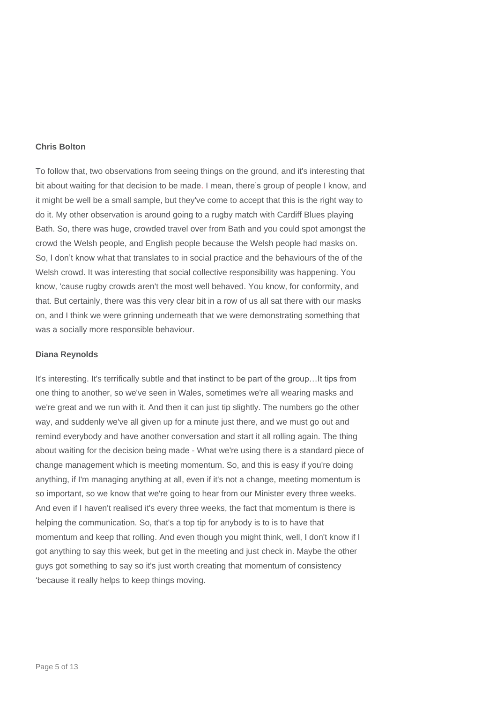# **Chris Bolton**

To follow that, two observations from seeing things on the ground, and it's interesting that bit about waiting for that decision to be made. I mean, there's group of people I know, and it might be well be a small sample, but they've come to accept that this is the right way to do it. My other observation is around going to a rugby match with Cardiff Blues playing Bath. So, there was huge, crowded travel over from Bath and you could spot amongst the crowd the Welsh people, and English people because the Welsh people had masks on. So, I don't know what that translates to in social practice and the behaviours of the of the Welsh crowd. It was interesting that social collective responsibility was happening. You know, 'cause rugby crowds aren't the most well behaved. You know, for conformity, and that. But certainly, there was this very clear bit in a row of us all sat there with our masks on, and I think we were grinning underneath that we were demonstrating something that was a socially more responsible behaviour.

#### **Diana Reynolds**

It's interesting. It's terrifically subtle and that instinct to be part of the group…It tips from one thing to another, so we've seen in Wales, sometimes we're all wearing masks and we're great and we run with it. And then it can just tip slightly. The numbers go the other way, and suddenly we've all given up for a minute just there, and we must go out and remind everybody and have another conversation and start it all rolling again. The thing about waiting for the decision being made - What we're using there is a standard piece of change management which is meeting momentum. So, and this is easy if you're doing anything, if I'm managing anything at all, even if it's not a change, meeting momentum is so important, so we know that we're going to hear from our Minister every three weeks. And even if I haven't realised it's every three weeks, the fact that momentum is there is helping the communication. So, that's a top tip for anybody is to is to have that momentum and keep that rolling. And even though you might think, well, I don't know if I got anything to say this week, but get in the meeting and just check in. Maybe the other guys got something to say so it's just worth creating that momentum of consistency 'because it really helps to keep things moving.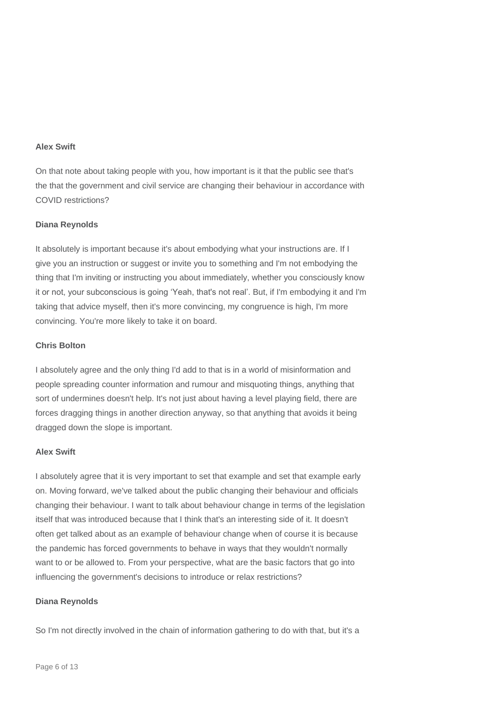## **Alex Swift**

On that note about taking people with you, how important is it that the public see that's the that the government and civil service are changing their behaviour in accordance with COVID restrictions?

### **Diana Reynolds**

It absolutely is important because it's about embodying what your instructions are. If I give you an instruction or suggest or invite you to something and I'm not embodying the thing that I'm inviting or instructing you about immediately, whether you consciously know it or not, your subconscious is going 'Yeah, that's not real'. But, if I'm embodying it and I'm taking that advice myself, then it's more convincing, my congruence is high, I'm more convincing. You're more likely to take it on board.

## **Chris Bolton**

I absolutely agree and the only thing I'd add to that is in a world of misinformation and people spreading counter information and rumour and misquoting things, anything that sort of undermines doesn't help. It's not just about having a level playing field, there are forces dragging things in another direction anyway, so that anything that avoids it being dragged down the slope is important.

## **Alex Swift**

I absolutely agree that it is very important to set that example and set that example early on. Moving forward, we've talked about the public changing their behaviour and officials changing their behaviour. I want to talk about behaviour change in terms of the legislation itself that was introduced because that I think that's an interesting side of it. It doesn't often get talked about as an example of behaviour change when of course it is because the pandemic has forced governments to behave in ways that they wouldn't normally want to or be allowed to. From your perspective, what are the basic factors that go into influencing the government's decisions to introduce or relax restrictions?

### **Diana Reynolds**

So I'm not directly involved in the chain of information gathering to do with that, but it's a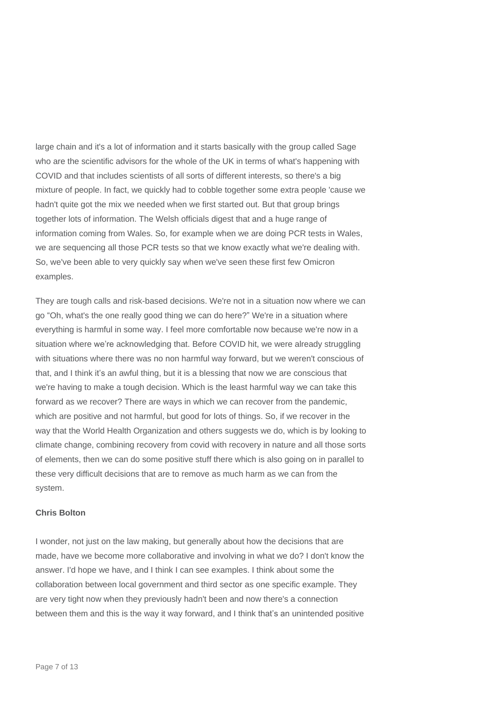large chain and it's a lot of information and it starts basically with the group called Sage who are the scientific advisors for the whole of the UK in terms of what's happening with COVID and that includes scientists of all sorts of different interests, so there's a big mixture of people. In fact, we quickly had to cobble together some extra people 'cause we hadn't quite got the mix we needed when we first started out. But that group brings together lots of information. The Welsh officials digest that and a huge range of information coming from Wales. So, for example when we are doing PCR tests in Wales, we are sequencing all those PCR tests so that we know exactly what we're dealing with. So, we've been able to very quickly say when we've seen these first few Omicron examples.

They are tough calls and risk-based decisions. We're not in a situation now where we can go "Oh, what's the one really good thing we can do here?" We're in a situation where everything is harmful in some way. I feel more comfortable now because we're now in a situation where we're acknowledging that. Before COVID hit, we were already struggling with situations where there was no non harmful way forward, but we weren't conscious of that, and I think it's an awful thing, but it is a blessing that now we are conscious that we're having to make a tough decision. Which is the least harmful way we can take this forward as we recover? There are ways in which we can recover from the pandemic, which are positive and not harmful, but good for lots of things. So, if we recover in the way that the World Health Organization and others suggests we do, which is by looking to climate change, combining recovery from covid with recovery in nature and all those sorts of elements, then we can do some positive stuff there which is also going on in parallel to these very difficult decisions that are to remove as much harm as we can from the system.

### **Chris Bolton**

I wonder, not just on the law making, but generally about how the decisions that are made, have we become more collaborative and involving in what we do? I don't know the answer. I'd hope we have, and I think I can see examples. I think about some the collaboration between local government and third sector as one specific example. They are very tight now when they previously hadn't been and now there's a connection between them and this is the way it way forward, and I think that's an unintended positive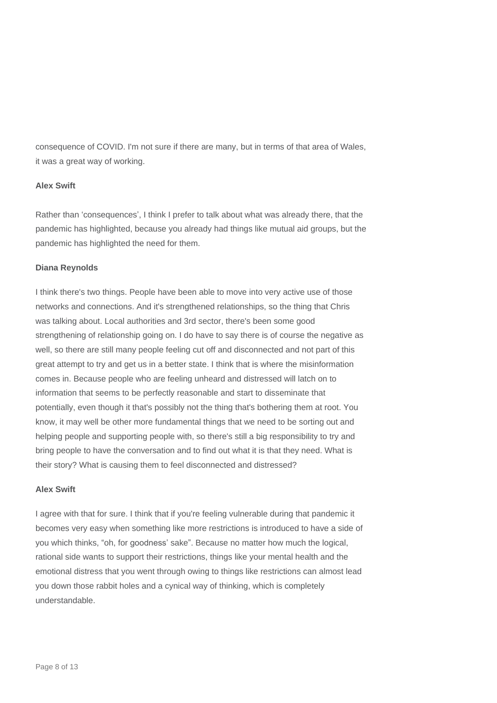consequence of COVID. I'm not sure if there are many, but in terms of that area of Wales, it was a great way of working.

# **Alex Swift**

Rather than 'consequences', I think I prefer to talk about what was already there, that the pandemic has highlighted, because you already had things like mutual aid groups, but the pandemic has highlighted the need for them.

# **Diana Reynolds**

I think there's two things. People have been able to move into very active use of those networks and connections. And it's strengthened relationships, so the thing that Chris was talking about. Local authorities and 3rd sector, there's been some good strengthening of relationship going on. I do have to say there is of course the negative as well, so there are still many people feeling cut off and disconnected and not part of this great attempt to try and get us in a better state. I think that is where the misinformation comes in. Because people who are feeling unheard and distressed will latch on to information that seems to be perfectly reasonable and start to disseminate that potentially, even though it that's possibly not the thing that's bothering them at root. You know, it may well be other more fundamental things that we need to be sorting out and helping people and supporting people with, so there's still a big responsibility to try and bring people to have the conversation and to find out what it is that they need. What is their story? What is causing them to feel disconnected and distressed?

# **Alex Swift**

I agree with that for sure. I think that if you're feeling vulnerable during that pandemic it becomes very easy when something like more restrictions is introduced to have a side of you which thinks, "oh, for goodness' sake". Because no matter how much the logical, rational side wants to support their restrictions, things like your mental health and the emotional distress that you went through owing to things like restrictions can almost lead you down those rabbit holes and a cynical way of thinking, which is completely understandable.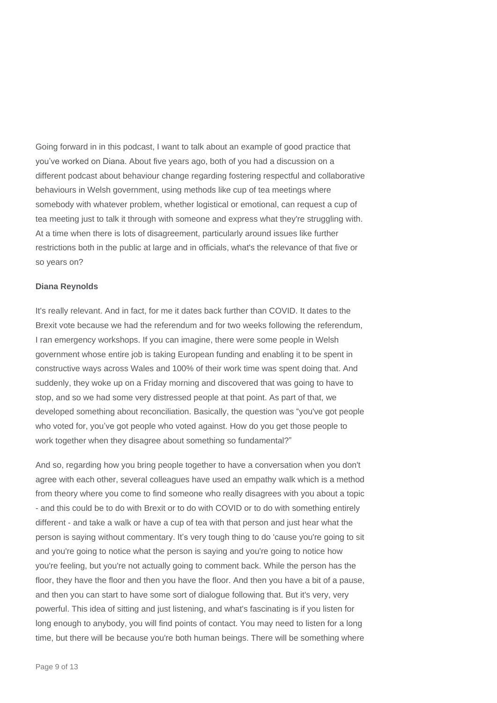Going forward in in this podcast, I want to talk about an example of good practice that you've worked on Diana. About five years ago, both of you had a discussion on a different podcast about behaviour change regarding fostering respectful and collaborative behaviours in Welsh government, using methods like cup of tea meetings where somebody with whatever problem, whether logistical or emotional, can request a cup of tea meeting just to talk it through with someone and express what they're struggling with. At a time when there is lots of disagreement, particularly around issues like further restrictions both in the public at large and in officials, what's the relevance of that five or so years on?

### **Diana Reynolds**

It's really relevant. And in fact, for me it dates back further than COVID. It dates to the Brexit vote because we had the referendum and for two weeks following the referendum, I ran emergency workshops. If you can imagine, there were some people in Welsh government whose entire job is taking European funding and enabling it to be spent in constructive ways across Wales and 100% of their work time was spent doing that. And suddenly, they woke up on a Friday morning and discovered that was going to have to stop, and so we had some very distressed people at that point. As part of that, we developed something about reconciliation. Basically, the question was "you've got people who voted for, you've got people who voted against. How do you get those people to work together when they disagree about something so fundamental?"

And so, regarding how you bring people together to have a conversation when you don't agree with each other, several colleagues have used an empathy walk which is a method from theory where you come to find someone who really disagrees with you about a topic - and this could be to do with Brexit or to do with COVID or to do with something entirely different - and take a walk or have a cup of tea with that person and just hear what the person is saying without commentary. It's very tough thing to do 'cause you're going to sit and you're going to notice what the person is saying and you're going to notice how you're feeling, but you're not actually going to comment back. While the person has the floor, they have the floor and then you have the floor. And then you have a bit of a pause, and then you can start to have some sort of dialogue following that. But it's very, very powerful. This idea of sitting and just listening, and what's fascinating is if you listen for long enough to anybody, you will find points of contact. You may need to listen for a long time, but there will be because you're both human beings. There will be something where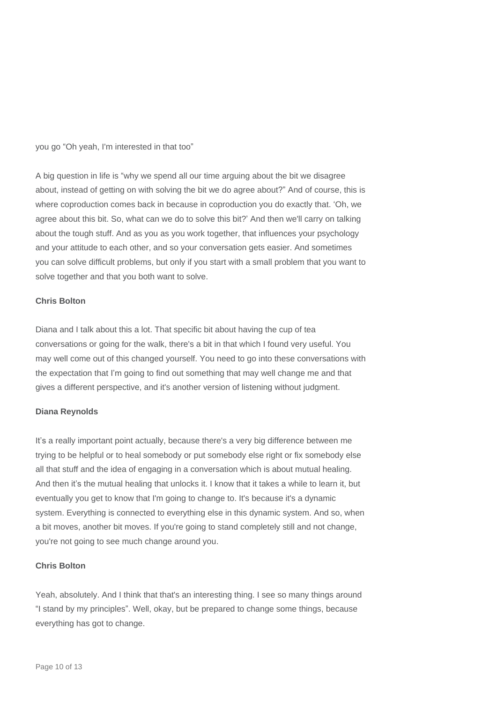you go "Oh yeah, I'm interested in that too"

A big question in life is "why we spend all our time arguing about the bit we disagree about, instead of getting on with solving the bit we do agree about?" And of course, this is where coproduction comes back in because in coproduction you do exactly that. 'Oh, we agree about this bit. So, what can we do to solve this bit?' And then we'll carry on talking about the tough stuff. And as you as you work together, that influences your psychology and your attitude to each other, and so your conversation gets easier. And sometimes you can solve difficult problems, but only if you start with a small problem that you want to solve together and that you both want to solve.

## **Chris Bolton**

Diana and I talk about this a lot. That specific bit about having the cup of tea conversations or going for the walk, there's a bit in that which I found very useful. You may well come out of this changed yourself. You need to go into these conversations with the expectation that I'm going to find out something that may well change me and that gives a different perspective, and it's another version of listening without judgment.

### **Diana Reynolds**

It's a really important point actually, because there's a very big difference between me trying to be helpful or to heal somebody or put somebody else right or fix somebody else all that stuff and the idea of engaging in a conversation which is about mutual healing. And then it's the mutual healing that unlocks it. I know that it takes a while to learn it, but eventually you get to know that I'm going to change to. It's because it's a dynamic system. Everything is connected to everything else in this dynamic system. And so, when a bit moves, another bit moves. If you're going to stand completely still and not change, you're not going to see much change around you.

# **Chris Bolton**

Yeah, absolutely. And I think that that's an interesting thing. I see so many things around "I stand by my principles". Well, okay, but be prepared to change some things, because everything has got to change.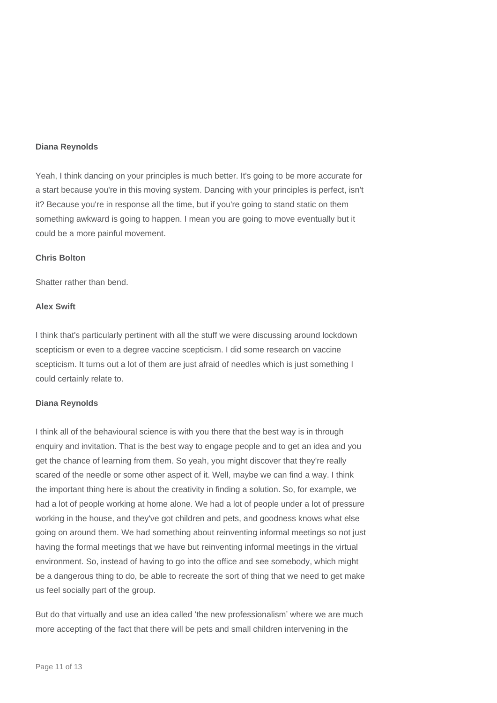## **Diana Reynolds**

Yeah, I think dancing on your principles is much better. It's going to be more accurate for a start because you're in this moving system. Dancing with your principles is perfect, isn't it? Because you're in response all the time, but if you're going to stand static on them something awkward is going to happen. I mean you are going to move eventually but it could be a more painful movement.

## **Chris Bolton**

Shatter rather than bend.

# **Alex Swift**

I think that's particularly pertinent with all the stuff we were discussing around lockdown scepticism or even to a degree vaccine scepticism. I did some research on vaccine scepticism. It turns out a lot of them are just afraid of needles which is just something I could certainly relate to.

## **Diana Reynolds**

I think all of the behavioural science is with you there that the best way is in through enquiry and invitation. That is the best way to engage people and to get an idea and you get the chance of learning from them. So yeah, you might discover that they're really scared of the needle or some other aspect of it. Well, maybe we can find a way. I think the important thing here is about the creativity in finding a solution. So, for example, we had a lot of people working at home alone. We had a lot of people under a lot of pressure working in the house, and they've got children and pets, and goodness knows what else going on around them. We had something about reinventing informal meetings so not just having the formal meetings that we have but reinventing informal meetings in the virtual environment. So, instead of having to go into the office and see somebody, which might be a dangerous thing to do, be able to recreate the sort of thing that we need to get make us feel socially part of the group.

But do that virtually and use an idea called 'the new professionalism' where we are much more accepting of the fact that there will be pets and small children intervening in the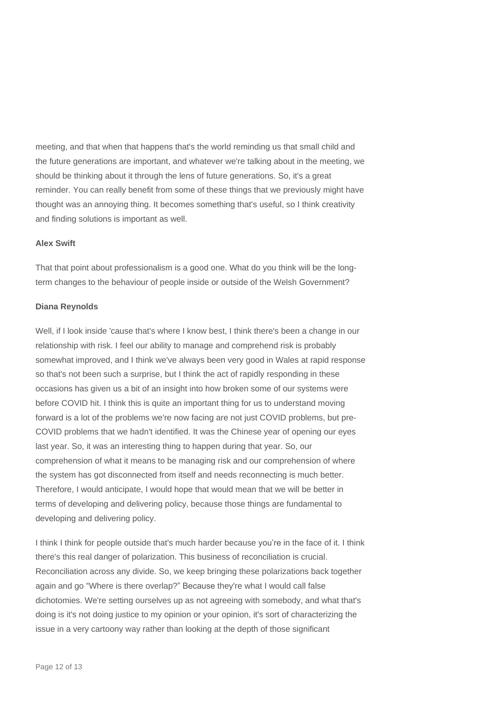meeting, and that when that happens that's the world reminding us that small child and the future generations are important, and whatever we're talking about in the meeting, we should be thinking about it through the lens of future generations. So, it's a great reminder. You can really benefit from some of these things that we previously might have thought was an annoying thing. It becomes something that's useful, so I think creativity and finding solutions is important as well.

## **Alex Swift**

That that point about professionalism is a good one. What do you think will be the longterm changes to the behaviour of people inside or outside of the Welsh Government?

### **Diana Reynolds**

Well, if I look inside 'cause that's where I know best, I think there's been a change in our relationship with risk. I feel our ability to manage and comprehend risk is probably somewhat improved, and I think we've always been very good in Wales at rapid response so that's not been such a surprise, but I think the act of rapidly responding in these occasions has given us a bit of an insight into how broken some of our systems were before COVID hit. I think this is quite an important thing for us to understand moving forward is a lot of the problems we're now facing are not just COVID problems, but pre-COVID problems that we hadn't identified. It was the Chinese year of opening our eyes last year. So, it was an interesting thing to happen during that year. So, our comprehension of what it means to be managing risk and our comprehension of where the system has got disconnected from itself and needs reconnecting is much better. Therefore, I would anticipate, I would hope that would mean that we will be better in terms of developing and delivering policy, because those things are fundamental to developing and delivering policy.

I think I think for people outside that's much harder because you're in the face of it. I think there's this real danger of polarization. This business of reconciliation is crucial. Reconciliation across any divide. So, we keep bringing these polarizations back together again and go "Where is there overlap?" Because they're what I would call false dichotomies. We're setting ourselves up as not agreeing with somebody, and what that's doing is it's not doing justice to my opinion or your opinion, it's sort of characterizing the issue in a very cartoony way rather than looking at the depth of those significant